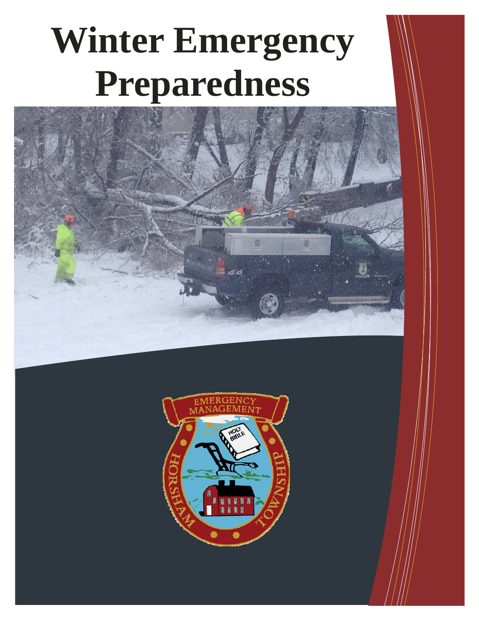# **Winter Emergency Preparedness**



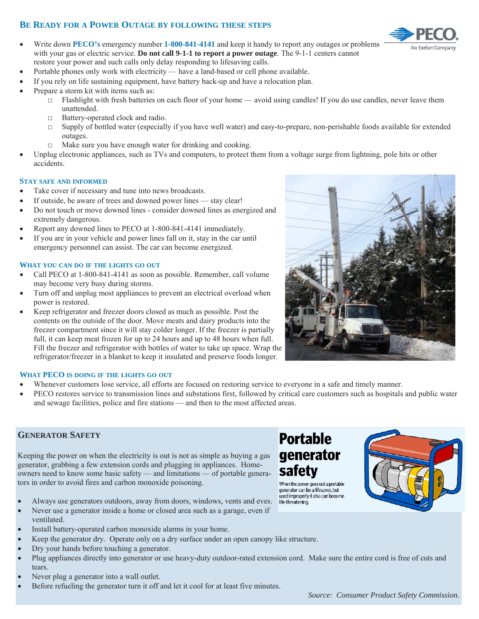#### **BE READY FOR A POWER OUTAGE BY FOLLOWING THESE STEPS**

- Write down **PECO's** emergency number **1-800-841-4141** and keep it handy to report any outages or problems with your gas or electric service. **Do not call 9-1-1 to report a power outage**. The 9-1-1 centers cannot restore your power and such calls only delay responding to lifesaving calls.
- Portable phones only work with electricity have a land-based or cell phone available.
- If you rely on life sustaining equipment, have battery back-up and have a relocation plan.
- Prepare a storm kit with items such as:
	- $\Box$  Flashlight with fresh batteries on each floor of your home avoid using candles! If you do use candles, never leave them unattended.
	- □ Battery-operated clock and radio.
	- $\Box$  Supply of bottled water (especially if you have well water) and easy-to-prepare, non-perishable foods available for extended outages.
	- $\Box$  Make sure you have enough water for drinking and cooking.
- Unplug electronic appliances, such as TVs and computers, to protect them from a voltage surge from lightning, pole hits or other accidents.

#### **STAY SAFE AND INFORMED**

- Take cover if necessary and tune into news broadcasts.
- If outside, be aware of trees and downed power lines stay clear!
- Do not touch or move downed lines consider downed lines as energized and extremely dangerous.
- Report any downed lines to PECO at 1-800-841-4141 immediately.
- If you are in your vehicle and power lines fall on it, stay in the car until emergency personnel can assist. The car can become energized.

#### **WHAT YOU CAN DO IF THE LIGHTS GO OUT**

- Call PECO at 1-800-841-4141 as soon as possible. Remember, call volume may become very busy during storms.
- Turn off and unplug most appliances to prevent an electrical overload when power is restored.
- Keep refrigerator and freezer doors closed as much as possible. Post the contents on the outside of the door. Move meats and dairy products into the freezer compartment since it will stay colder longer. If the freezer is partially full, it can keep meat frozen for up to 24 hours and up to 48 hours when full. Fill the freezer and refrigerator with bottles of water to take up space. Wrap the refrigerator/freezer in a blanket to keep it insulated and preserve foods longer.

#### **WHAT PECO IS DOING IF THE LIGHTS GO OUT**

- Whenever customers lose service, all efforts are focused on restoring service to everyone in a safe and timely manner.
- PECO restores service to transmission lines and substations first, followed by critical care customers such as hospitals and public water and sewage facilities, police and fire stations — and then to the most affected areas.

#### **GENERATOR SAFETY**

Keeping the power on when the electricity is out is not as simple as buying a gas generator, grabbing a few extension cords and plugging in appliances. Homeowners need to know some basic safety — and limitations — of portable generators in order to avoid fires and carbon monoxide poisoning.

- Always use generators outdoors, away from doors, windows, vents and eves.
- Never use a generator inside a home or closed area such as a garage, even if ventilated.
- Install battery-operated carbon monoxide alarms in your home.
- Keep the generator dry. Operate only on a dry surface under an open canopy like structure.
- Dry your hands before touching a generator.
- Plug appliances directly into generator or use heavy-duty outdoor-rated extension cord. Make sure the entire cord is free of cuts and tears.
- Never plug a generator into a wall outlet.
- Before refueling the generator turn it off and let it cool for at least five minutes.

# **Portable** generator safety

When the power goes out a portable generator can be a lifesaver, but used improperly it also can become life-threatening.





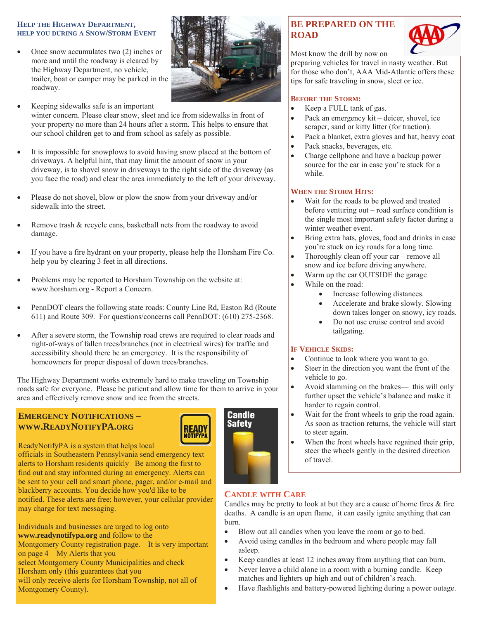#### **HELP THE HIGHWAY DEPARTMENT, HELP YOU DURING A SNOW/STORM EVENT**

- Once snow accumulates two (2) inches or more and until the roadway is cleared by the Highway Department, no vehicle, trailer, boat or camper may be parked in the roadway.
- Keeping sidewalks safe is an important winter concern. Please clear snow, sleet and ice from sidewalks in front of your property no more than 24 hours after a storm. This helps to ensure that our school children get to and from school as safely as possible.
- It is impossible for snowplows to avoid having snow placed at the bottom of driveways. A helpful hint, that may limit the amount of snow in your driveway, is to shovel snow in driveways to the right side of the driveway (as you face the road) and clear the area immediately to the left of your driveway.
- Please do not shovel, blow or plow the snow from your driveway and/or sidewalk into the street.
- Remove trash & recycle cans, basketball nets from the roadway to avoid damage.
- If you have a fire hydrant on your property, please help the Horsham Fire Co. help you by clearing 3 feet in all directions.
- Problems may be reported to Horsham Township on the website at: www.horsham.org - Report a Concern.
- PennDOT clears the following state roads: County Line Rd, Easton Rd (Route 611) and Route 309. For questions/concerns call PennDOT: (610) 275-2368.
- After a severe storm, the Township road crews are required to clear roads and right-of-ways of fallen trees/branches (not in electrical wires) for traffic and accessibility should there be an emergency. It is the responsibility of homeowners for proper disposal of down trees/branches.

The Highway Department works extremely hard to make traveling on Township roads safe for everyone. Please be patient and allow time for them to arrive in your area and effectively remove snow and ice from the streets.

### **EMERGENCY NOTIFICATIONS – WWW.READYNOTIFYPA.ORG**



#### ReadyNotifyPA is a system that helps local

officials in Southeastern Pennsylvania send emergency text alerts to Horsham residents quickly Be among the first to find out and stay informed during an emergency. Alerts can be sent to your cell and smart phone, pager, and/or e-mail and blackberry accounts. You decide how you'd like to be notified. These alerts are free; however, your cellular provider may charge for text messaging.

Individuals and businesses are urged to log onto **www.readynotifypa.org** and follow to the Montgomery County registration page. It is very important on page 4 – My Alerts that you select Montgomery County Municipalities and check Horsham only (this guarantees that you will only receive alerts for Horsham Township, not all of Montgomery County).

## **BE PREPARED ON THE ROAD**



Most know the drill by now on

preparing vehicles for travel in nasty weather. But for those who don't, AAA Mid-Atlantic offers these tips for safe traveling in snow, sleet or ice.

#### **BEFORE THE STORM:**

- Keep a FULL tank of gas.
- Pack an emergency kit deicer, shovel, ice scraper, sand or kitty litter (for traction).
- Pack a blanket, extra gloves and hat, heavy coat
- Pack snacks, beverages, etc.
- Charge cellphone and have a backup power source for the car in case you're stuck for a while.

#### **WHEN THE STORM HITS:**

- Wait for the roads to be plowed and treated before venturing out – road surface condition is the single most important safety factor during a winter weather event.
- Bring extra hats, gloves, food and drinks in case you're stuck on icy roads for a long time.
- Thoroughly clean off your car remove all snow and ice before driving anywhere.
- Warm up the car OUTSIDE the garage
	- While on the road:
		- Increase following distances.
		- Accelerate and brake slowly. Slowing down takes longer on snowy, icy roads.
		- Do not use cruise control and avoid tailgating.

#### **IF VEHICLE SKIDS:**

- Continue to look where you want to go.
- Steer in the direction you want the front of the vehicle to go.
- Avoid slamming on the brakes— this will only further upset the vehicle's balance and make it harder to regain control.
- Wait for the front wheels to grip the road again. As soon as traction returns, the vehicle will start to steer again.
- When the front wheels have regained their grip, steer the wheels gently in the desired direction of travel.

#### **CANDLE WITH CARE**

Candles may be pretty to look at but they are a cause of home fires  $\&$  fire deaths. A candle is an open flame, it can easily ignite anything that can burn.

- Blow out all candles when you leave the room or go to bed.
- Avoid using candles in the bedroom and where people may fall asleep.
- Keep candles at least 12 inches away from anything that can burn.
- Never leave a child alone in a room with a burning candle. Keep matches and lighters up high and out of children's reach.
- Have flashlights and battery-powered lighting during a power outage.